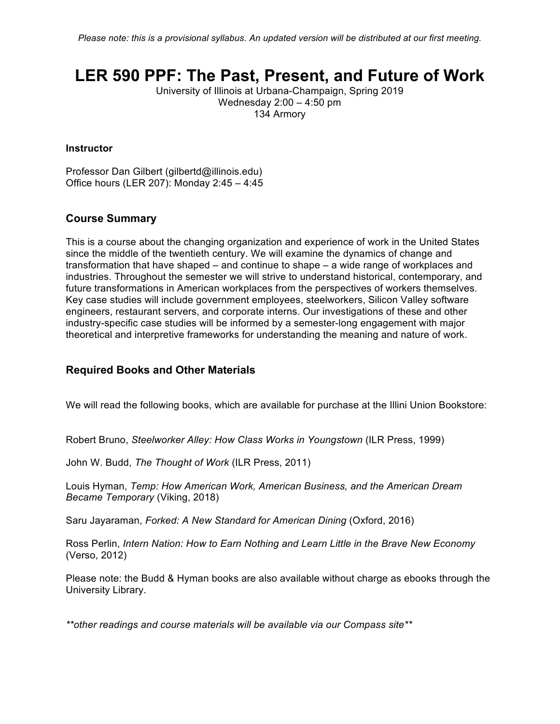# **LER 590 PPF: The Past, Present, and Future of Work**

University of Illinois at Urbana-Champaign, Spring 2019 Wednesday 2:00 – 4:50 pm 134 Armory

#### **Instructor**

Professor Dan Gilbert (gilbertd@illinois.edu) Office hours (LER 207): Monday 2:45 – 4:45

## **Course Summary**

This is a course about the changing organization and experience of work in the United States since the middle of the twentieth century. We will examine the dynamics of change and transformation that have shaped – and continue to shape – a wide range of workplaces and industries. Throughout the semester we will strive to understand historical, contemporary, and future transformations in American workplaces from the perspectives of workers themselves. Key case studies will include government employees, steelworkers, Silicon Valley software engineers, restaurant servers, and corporate interns. Our investigations of these and other industry-specific case studies will be informed by a semester-long engagement with major theoretical and interpretive frameworks for understanding the meaning and nature of work.

### **Required Books and Other Materials**

We will read the following books, which are available for purchase at the Illini Union Bookstore:

Robert Bruno, *Steelworker Alley: How Class Works in Youngstown* (ILR Press, 1999)

John W. Budd, *The Thought of Work* (ILR Press, 2011)

Louis Hyman, *Temp: How American Work, American Business, and the American Dream Became Temporary* (Viking, 2018)

Saru Jayaraman, *Forked: A New Standard for American Dining* (Oxford, 2016)

Ross Perlin, *Intern Nation: How to Earn Nothing and Learn Little in the Brave New Economy*  (Verso, 2012)

Please note: the Budd & Hyman books are also available without charge as ebooks through the University Library.

*\*\*other readings and course materials will be available via our Compass site\*\**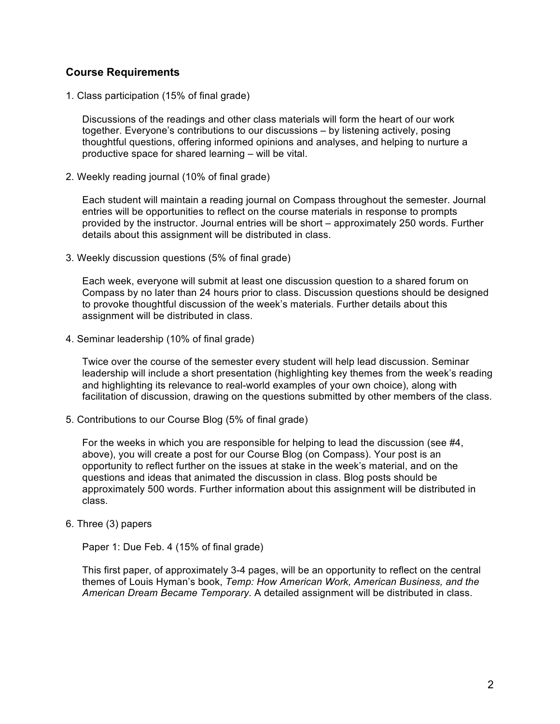# **Course Requirements**

1. Class participation (15% of final grade)

Discussions of the readings and other class materials will form the heart of our work together. Everyone's contributions to our discussions – by listening actively, posing thoughtful questions, offering informed opinions and analyses, and helping to nurture a productive space for shared learning – will be vital.

2. Weekly reading journal (10% of final grade)

Each student will maintain a reading journal on Compass throughout the semester. Journal entries will be opportunities to reflect on the course materials in response to prompts provided by the instructor. Journal entries will be short – approximately 250 words. Further details about this assignment will be distributed in class.

3. Weekly discussion questions (5% of final grade)

Each week, everyone will submit at least one discussion question to a shared forum on Compass by no later than 24 hours prior to class. Discussion questions should be designed to provoke thoughtful discussion of the week's materials. Further details about this assignment will be distributed in class.

4. Seminar leadership (10% of final grade)

Twice over the course of the semester every student will help lead discussion. Seminar leadership will include a short presentation (highlighting key themes from the week's reading and highlighting its relevance to real-world examples of your own choice), along with facilitation of discussion, drawing on the questions submitted by other members of the class.

5. Contributions to our Course Blog (5% of final grade)

For the weeks in which you are responsible for helping to lead the discussion (see #4, above), you will create a post for our Course Blog (on Compass). Your post is an opportunity to reflect further on the issues at stake in the week's material, and on the questions and ideas that animated the discussion in class. Blog posts should be approximately 500 words. Further information about this assignment will be distributed in class.

### 6. Three (3) papers

Paper 1: Due Feb. 4 (15% of final grade)

This first paper, of approximately 3-4 pages, will be an opportunity to reflect on the central themes of Louis Hyman's book, *Temp: How American Work, American Business, and the American Dream Became Temporary.* A detailed assignment will be distributed in class.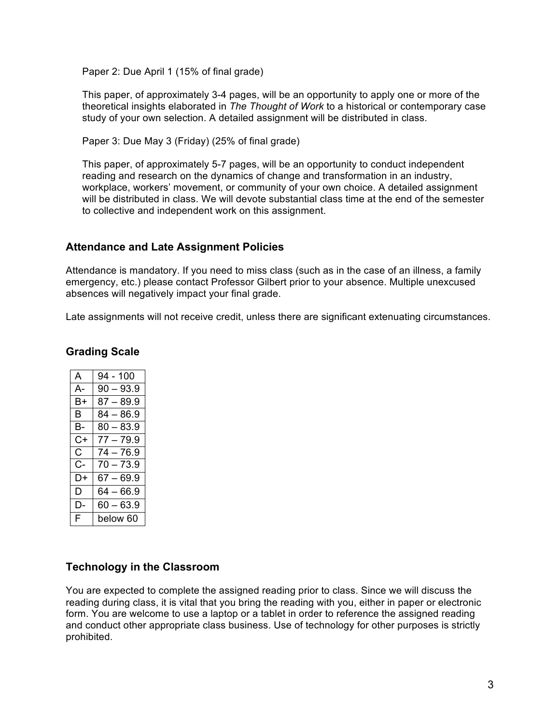Paper 2: Due April 1 (15% of final grade)

This paper, of approximately 3-4 pages, will be an opportunity to apply one or more of the theoretical insights elaborated in *The Thought of Work* to a historical or contemporary case study of your own selection. A detailed assignment will be distributed in class.

Paper 3: Due May 3 (Friday) (25% of final grade)

This paper, of approximately 5-7 pages, will be an opportunity to conduct independent reading and research on the dynamics of change and transformation in an industry, workplace, workers' movement, or community of your own choice. A detailed assignment will be distributed in class. We will devote substantial class time at the end of the semester to collective and independent work on this assignment.

# **Attendance and Late Assignment Policies**

Attendance is mandatory. If you need to miss class (such as in the case of an illness, a family emergency, etc.) please contact Professor Gilbert prior to your absence. Multiple unexcused absences will negatively impact your final grade.

Late assignments will not receive credit, unless there are significant extenuating circumstances.

| A  | 94 - 100    |
|----|-------------|
| А- | $90 - 93.9$ |
| B+ | $87 - 89.9$ |
| В  | $84 - 86.9$ |
| В- | $80 - 83.9$ |
| C+ | 77 – 79.9   |
| C. | $74 - 76.9$ |
| С- | $70 - 73.9$ |
| D+ | $67 - 69.9$ |
| D. | $64 - 66.9$ |
| D- | $60 - 63.9$ |
| F. | below 60    |

# **Grading Scale**

# **Technology in the Classroom**

You are expected to complete the assigned reading prior to class. Since we will discuss the reading during class, it is vital that you bring the reading with you, either in paper or electronic form. You are welcome to use a laptop or a tablet in order to reference the assigned reading and conduct other appropriate class business. Use of technology for other purposes is strictly prohibited.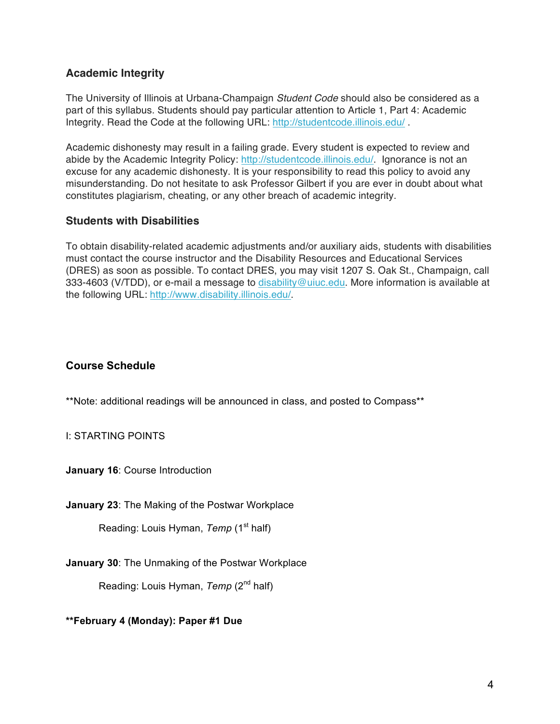# **Academic Integrity**

The University of Illinois at Urbana-Champaign *Student Code* should also be considered as a part of this syllabus. Students should pay particular attention to Article 1, Part 4: Academic Integrity. Read the Code at the following URL: http://studentcode.illinois.edu/ .

Academic dishonesty may result in a failing grade. Every student is expected to review and abide by the Academic Integrity Policy: http://studentcode.illinois.edu/. Ignorance is not an excuse for any academic dishonesty. It is your responsibility to read this policy to avoid any misunderstanding. Do not hesitate to ask Professor Gilbert if you are ever in doubt about what constitutes plagiarism, cheating, or any other breach of academic integrity.

# **Students with Disabilities**

To obtain disability-related academic adjustments and/or auxiliary aids, students with disabilities must contact the course instructor and the Disability Resources and Educational Services (DRES) as soon as possible. To contact DRES, you may visit 1207 S. Oak St., Champaign, call 333-4603 (V/TDD), or e-mail a message to disability@uiuc.edu. More information is available at the following URL: http://www.disability.illinois.edu/.

# **Course Schedule**

\*\*Note: additional readings will be announced in class, and posted to Compass\*\*

I: STARTING POINTS

**January 16**: Course Introduction

**January 23**: The Making of the Postwar Workplace

Reading: Louis Hyman, *Temp* (1<sup>st</sup> half)

**January 30**: The Unmaking of the Postwar Workplace

Reading: Louis Hyman, *Temp* (2<sup>nd</sup> half)

**\*\*February 4 (Monday): Paper #1 Due**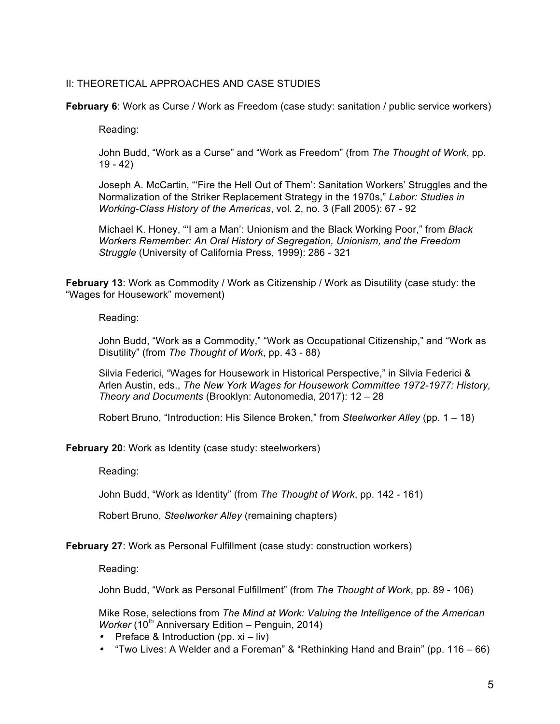#### II: THEORETICAL APPROACHES AND CASE STUDIES

**February 6**: Work as Curse / Work as Freedom (case study: sanitation / public service workers)

Reading:

John Budd, "Work as a Curse" and "Work as Freedom" (from *The Thought of Work*, pp. 19 - 42)

Joseph A. McCartin, "'Fire the Hell Out of Them': Sanitation Workers' Struggles and the Normalization of the Striker Replacement Strategy in the 1970s," *Labor: Studies in Working-Class History of the Americas*, vol. 2, no. 3 (Fall 2005): 67 - 92

Michael K. Honey, "'I am a Man': Unionism and the Black Working Poor," from *Black Workers Remember: An Oral History of Segregation, Unionism, and the Freedom Struggle* (University of California Press, 1999): 286 - 321

**February 13**: Work as Commodity / Work as Citizenship / Work as Disutility (case study: the "Wages for Housework" movement)

Reading:

John Budd, "Work as a Commodity," "Work as Occupational Citizenship," and "Work as Disutility" (from *The Thought of Work*, pp. 43 - 88)

Silvia Federici, "Wages for Housework in Historical Perspective," in Silvia Federici & Arlen Austin, eds., *The New York Wages for Housework Committee 1972-1977: History, Theory and Documents* (Brooklyn: Autonomedia, 2017): 12 – 28

Robert Bruno, "Introduction: His Silence Broken," from *Steelworker Alley* (pp. 1 – 18)

**February 20:** Work as Identity (case study: steelworkers)

Reading:

John Budd, "Work as Identity" (from *The Thought of Work*, pp. 142 - 161)

Robert Bruno, *Steelworker Alley* (remaining chapters)

**February 27**: Work as Personal Fulfillment (case study: construction workers)

Reading:

John Budd, "Work as Personal Fulfillment" (from *The Thought of Work*, pp. 89 - 106)

Mike Rose, selections from *The Mind at Work: Valuing the Intelligence of the American Worker* (10<sup>th</sup> Anniversary Edition – Penguin, 2014)

- Preface & Introduction (pp. xi liv)
- "Two Lives: A Welder and a Foreman" & "Rethinking Hand and Brain" (pp. 116 66)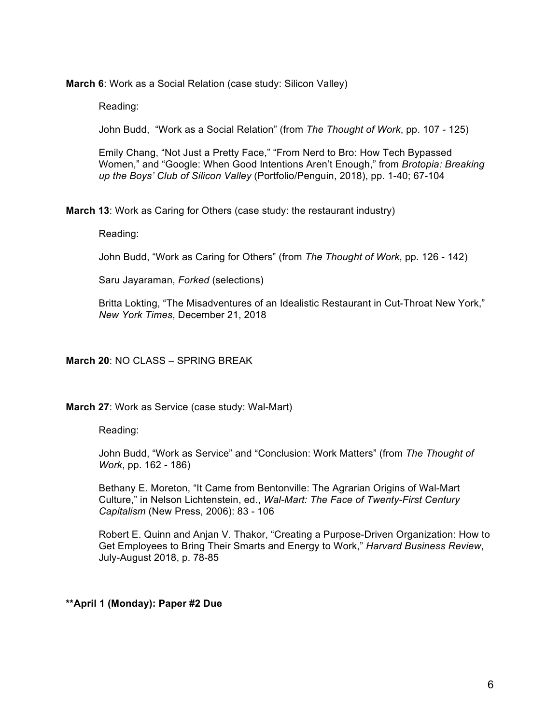**March 6**: Work as a Social Relation (case study: Silicon Valley)

Reading:

John Budd, "Work as a Social Relation" (from *The Thought of Work*, pp. 107 - 125)

Emily Chang, "Not Just a Pretty Face," "From Nerd to Bro: How Tech Bypassed Women," and "Google: When Good Intentions Aren't Enough," from *Brotopia: Breaking up the Boys' Club of Silicon Valley* (Portfolio/Penguin, 2018), pp. 1-40; 67-104

**March 13**: Work as Caring for Others (case study: the restaurant industry)

Reading:

John Budd, "Work as Caring for Others" (from *The Thought of Work*, pp. 126 - 142)

Saru Jayaraman, *Forked* (selections)

Britta Lokting, "The Misadventures of an Idealistic Restaurant in Cut-Throat New York," *New York Times*, December 21, 2018

#### **March 20**: NO CLASS – SPRING BREAK

**March 27**: Work as Service (case study: Wal-Mart)

Reading:

John Budd, "Work as Service" and "Conclusion: Work Matters" (from *The Thought of Work*, pp. 162 - 186)

Bethany E. Moreton, "It Came from Bentonville: The Agrarian Origins of Wal-Mart Culture," in Nelson Lichtenstein, ed., *Wal-Mart: The Face of Twenty-First Century Capitalism* (New Press, 2006): 83 - 106

Robert E. Quinn and Anjan V. Thakor, "Creating a Purpose-Driven Organization: How to Get Employees to Bring Their Smarts and Energy to Work," *Harvard Business Review*, July-August 2018, p. 78-85

#### **\*\*April 1 (Monday): Paper #2 Due**